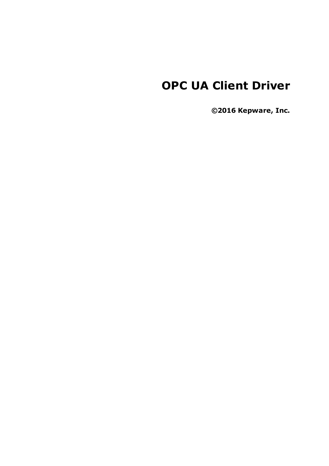# **OPC UA Client Driver**

**©2016 Kepware, Inc.**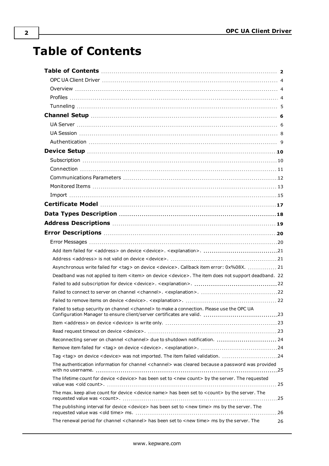# <span id="page-1-0"></span>**Table of Contents**

| Asynchronous write failed for <tag> on device <device>. Callback item error: 0x%08X.  21</device></tag>           |    |
|-------------------------------------------------------------------------------------------------------------------|----|
| Deadband was not applied to item < item> on device < device>. The item does not support deadband. 22              |    |
|                                                                                                                   |    |
|                                                                                                                   |    |
|                                                                                                                   |    |
| Failed to setup security on channel <channel> to make a connection. Please use the OPC UA</channel>               |    |
|                                                                                                                   |    |
|                                                                                                                   |    |
|                                                                                                                   |    |
|                                                                                                                   |    |
| Tag <tag> on device <device> was not imported. The item failed validation. 24</device></tag>                      |    |
| The authentication information for channel <channel> was cleared because a password was provided</channel>        |    |
| The lifetime count for device <device> has been set to <new count=""> by the server. The requested</new></device> |    |
| The max. keep alive count for device < device name> has been set to < count> by the server. The                   |    |
| The publishing interval for device <device> has been set to <new time=""> ms by the server. The</new></device>    |    |
| The renewal period for channel <channel> has been set to <new time=""> ms by the server. The</new></channel>      | 26 |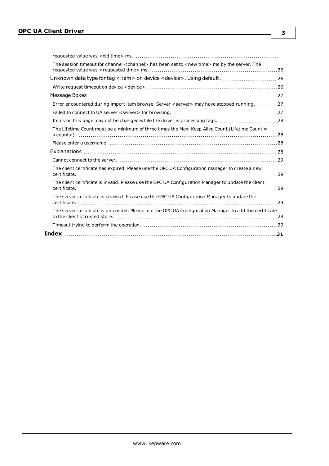| The session timeout for channel < channel> has been set to <new time=""> ms by the server. The</new>    |  |
|---------------------------------------------------------------------------------------------------------|--|
| Unknown data type for tag <item> on device <device>. Using default.  26</device></item>                 |  |
|                                                                                                         |  |
|                                                                                                         |  |
| Error encountered during import item browse. Server <server> may have stopped running. 27</server>      |  |
|                                                                                                         |  |
| Items on this page may not be changed while the driver is processing tags. 28                           |  |
| The Lifetime Count must be a minimum of three times the Max. Keep Alive Count (Lifetime Count =         |  |
|                                                                                                         |  |
|                                                                                                         |  |
|                                                                                                         |  |
| The client certificate has expired. Please use the OPC UA Configuration manager to create a new         |  |
| The client certificate is invalid. Please use the OPC UA Configuration Manager to update the client     |  |
| The server certificate is revoked. Please use the OPC UA Configuration Manager to update the            |  |
| The server certificate is untrusted. Please use the OPC UA Configuration Manager to add the certificate |  |
|                                                                                                         |  |
|                                                                                                         |  |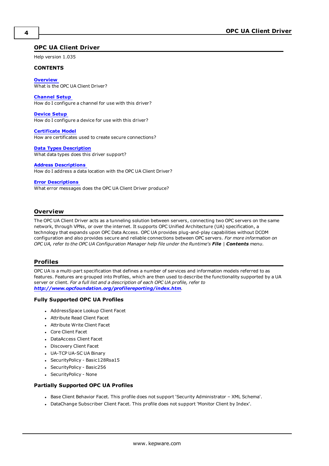#### <span id="page-3-0"></span>**OPC UA Client Driver**

Help version 1.035

#### **CONTENTS**

**[Overview](#page-3-1)** What is the OPC UA Client Driver?

#### **[Channel](#page-5-0) Setup**

How do I configure a channel for use with this driver?

#### **[Device](#page-9-0) Setup**

How do I configure a device for use with this driver?

**[Certificate](#page-16-0) Model** How are certificates used to create secure connections?

#### **Data Types [Description](#page-17-0)**

What data types does this driver support?

#### **Address [Descriptions](#page-18-0)**

How do I address a data location with the OPC UA Client Driver?

#### **Error [Descriptions](#page-19-0)**

What error messages does the OPC UA Client Driver produce?

#### <span id="page-3-1"></span>**Overview**

The OPC UA Client Driver acts as a tunneling solution between servers, connecting two OPC servers on the same network, through VPNs, or over the internet. It supports OPC Unified Architecture (UA) specification, a technology that expands upon OPC Data Access. OPC UA provides plug-and-play capabilities without DCOM configuration and also provides secure and reliable connections between OPC servers. *For more information on* OPC UA, refer to the OPC UA Configuration Manager help file under the Runtime's File | Contents menu.

#### <span id="page-3-2"></span>**Profiles**

OPC UA is a multi-part specification that defines a number of services and information models referred to as features. Features are grouped into Profiles, which are then used to describe the functionality supported by a UA server or client. *For a full list and a description of each OPC UA profile, refer to <http://www.opcfoundation.org/profilereporting/index.htm>.*

#### **Fully Supported OPC UA Profiles**

- AddressSpace Lookup Client Facet
- Attribute Read Client Facet
- <span id="page-3-3"></span>• Attribute Write Client Facet
- <sup>l</sup> Core Client Facet
- <span id="page-3-4"></span>**DataAccess Client Facet**
- Discovery Client Facet
- UA-TCP UA-SC UA Binary
- SecurityPolicy Basic128Rsa15
- SecurityPolicy Basic256
- SecurityPolicy None

#### **Partially Supported OPC UA Profiles**

- <sup>l</sup> Base Client Behavior Facet. This profile does not support 'Security Administrator XML Schema'.
- <sup>l</sup> DataChange Subscriber Client Facet. This profile does not support 'Monitor Client by Index'.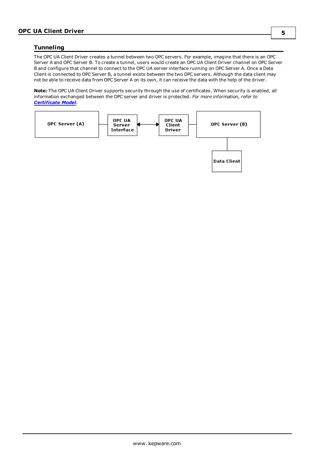#### <span id="page-4-0"></span>**Tunneling**

The OPC UA Client Driver creates a tunnel between two OPC servers. For example, imagine that there is an OPC Server A and OPC Server B. To create a tunnel, users would create an OPC UA Client Driver channel on OPC Server B and configure that channel to connect to the OPC UA server interface running on OPC Server A. Once a Data Client is connected to OPC Server B, a tunnel exists between the two OPC servers. Although the data client may not be able to receive data from OPC Server A on its own, it can receive the data with the help of the driver.

**Note:** The OPC UA Client Driver supports security through the use of certificates. When security is enabled, all information exchanged between the OPC server and driver is protected. *For more information, refer to [Certificate](#page-16-0) Model.*

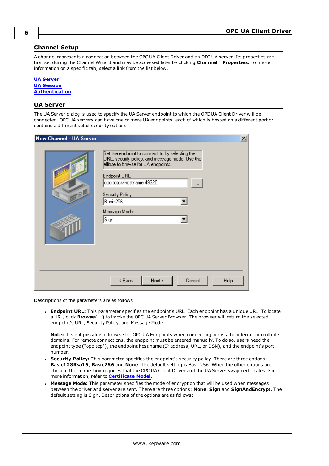#### <span id="page-5-0"></span>**Channel Setup**

A channel represents a connection between the OPC UA Client Driver and an OPC UA server. Its properties are first set during the Channel Wizard and may be accessed later by clicking **Channel** | **Properties**. For more information on a specific tab, select a link from the list below.

#### **UA [Server](#page-5-1) UA [Session](#page-7-0) [Authentication](#page-8-0)**

#### <span id="page-5-1"></span>**UA Server**

The UA Server dialog is used to specify the UA Server endpoint to which the OPC UA Client Driver will be connected. OPC UA servers can have one or more UA endpoints, each of which is hosted on a different port or contains a different set of security options.

| New Channel - UA Server |                                                                                                                                                                                                                                                     | $\vert x \vert$ |
|-------------------------|-----------------------------------------------------------------------------------------------------------------------------------------------------------------------------------------------------------------------------------------------------|-----------------|
| 9B                      | Set the endpoint to connect to by selecting the<br>URL, security policy, and message mode. Use the<br>ellipse to browse for UA endpoints.<br>Endpoint URL:<br>opc.tcp://hostname:49320<br><br>Security Policy:<br>Basic256<br>Message Mode:<br>Sign |                 |
|                         | Cancel<br>$\leq$ $\underline{B}$ ack<br>$N$ ext ><br>Help                                                                                                                                                                                           |                 |

Descriptions of the parameters are as follows:

**Endpoint URL:** This parameter specifies the endpoint's URL. Each endpoint has a unique URL. To locate a URL, click **Browse(…)** to invoke the OPC UA Server Browser. The browser will return the selected endpoint's URL, Security Policy, and Message Mode.

**Note:** It is not possible to browse for OPC UA Endpoints when connecting across the internet or multiple domains. For remote connections, the endpoint must be entered manually. To do so, users need the endpoint type ("opc.tcp"), the endpoint host name (IP address, URL, or DSN), and the endpoint's port number.

- <sup>l</sup> **Security Policy:** This parameter specifies the endpoint's security policy. There are three options: **Basic128Rsa15**, **Basic256** and **None**. The default setting is Basic256. When the other options are chosen, the connection requires that the OPC UA Client Driver and the UA Server swap certificates. For more information, refer to **[Certificate](#page-16-0) Model**.
- <sup>l</sup> **Message Mode:** This parameter specifies the mode of encryption that will be used when messages between the driver and server are sent. There are three options: **None**, **Sign** and **SignAndEncrypt**. The default setting is Sign. Descriptions of the options are as follows: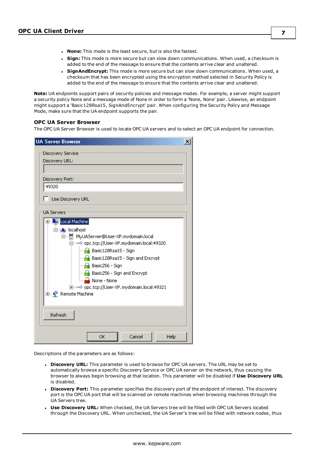- <sup>l</sup> **None:** This mode is the least secure, but is also the fastest.
- **Sign:** This mode is more secure but can slow down communications. When used, a checksum is added to the end of the message to ensure that the contents arrive clear and unaltered.
- **SignAndEncrypt:** This mode is more secure but can slow down communications. When used, a checksum that has been encrypted using the encryption method selected in Security Policy is added to the end of the message to ensure that the contents arrive clear and unaltered.

**Note:** UA endpoints support pairs of security policies and message modes. For example, a server might support a security policy None and a message mode of None in order to form a 'None, None' pair. Likewise, an endpoint might support a 'Basic128Rsa15, SignAndEncrypt' pair. When configuring the Security Policy and Message Mode, make sure that the UA endpoint supports the pair.

#### **OPC UA Server Browser**

The OPC UA Server Browser is used to locate OPC UA servers and to select an OPC UA endpoint for connection.

| <b>UA Server Browser</b><br>$\vert x \vert$                                        |
|------------------------------------------------------------------------------------|
| Discovery Service                                                                  |
| Discovery URL:                                                                     |
|                                                                                    |
| Discovery Port:                                                                    |
| 49320                                                                              |
| Use Discovery URL                                                                  |
| <b>UA Servers</b>                                                                  |
| Local Machine<br>$\overline{+}$                                                    |
| □…A localhost                                                                      |
| 白… H MyUAServer@User-XP.mydomain.local                                             |
| 白…⊶© opc.tcp://User-XP.mydomain.local:49320<br>$\blacksquare$ Basic128Rsa15 - Sign |
|                                                                                    |
| $\begin{array}{ c c c }\n\hline\n\end{array}$ Basic256 - Sign                      |
| $\begin{array}{ c c c }\n\hline\n\end{array}$ Basic256 - Sign and Encrypt          |
| ं None - None                                                                      |
| 由…⊶© opc.tcp://User-XP.mydomain.local:49321                                        |
| 由… <mark>!</mark> Remote Machine                                                   |
|                                                                                    |
| Refresh                                                                            |
| Cancel<br>OK<br>Help                                                               |

- **.** Discovery URL: This parameter is used to browse for OPC UA servers. The URL may be set to automatically browse a specific Discovery Service or OPC UA server on the network, thus causing the browser to always begin browsing at that location. This parameter will be disabled if **Use Discovery URL** is disabled.
- **.** Discovery Port: This parameter specifies the discovery port of the endpoint of interest. The discovery port is the OPC UA port that will be scanned on remote machines when browsing machines through the UA Servers tree.
- <sup>l</sup> **Use Discovery URL:** When checked, the UA Servers tree will be filled with OPC UA Servers located through the Discovery URL. When unchecked, the UA Server's tree will be filled with network nodes, thus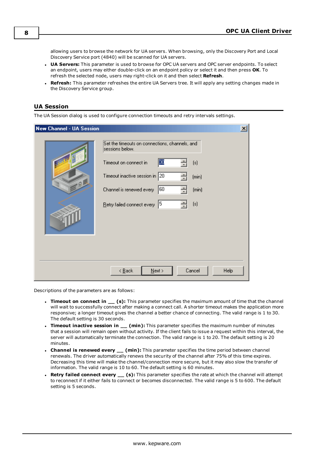allowing users to browse the network for UA servers. When browsing, only the Discovery Port and Local Discovery Service port (4840) will be scanned for UA servers.

- <sup>l</sup> **UA Servers:** This parameter is used to browse for OPC UA servers and OPC server endpoints. To select an endpoint, users may either double-click on an endpoint policy or select it and then press **OK**. To refresh the selected node, users may right-click on it and then select **Refresh**.
- **Refresh:** This parameter refreshes the entire UA Servers tree. It will apply any setting changes made in the Discovery Service group.

#### <span id="page-7-0"></span>**UA Session**

The UA Session dialog is used to configure connection timeouts and retry intervals settings.

| <b>New Channel - UA Session</b><br>9 | Set the timeouts on connections, channels, and<br>sessions below.<br>30<br>Timeout on connect in<br>$\left[\begin{smallmatrix}s\end{smallmatrix}\right]$<br>Timeout inactive session in 20<br>(min) | $\times$ |
|--------------------------------------|-----------------------------------------------------------------------------------------------------------------------------------------------------------------------------------------------------|----------|
|                                      | 60<br>Channel is renewed every<br>(min)<br> 5<br>[s]<br>Retry failed connect every                                                                                                                  |          |
|                                      | Cancel<br>$\leq$ $\underline{B}$ ack<br>$N$ ext ><br>Help                                                                                                                                           |          |

- <sup>l</sup> **Timeout on connect in \_\_ (s):** This parameter specifies the maximum amount of time that the channel will wait to successfully connect after making a connect call. A shorter timeout makes the application more responsive; a longer timeout gives the channel a better chance of connecting. The valid range is 1 to 30. The default setting is 30 seconds.
- <span id="page-7-2"></span><sup>l</sup> **Timeout inactive session in \_\_ (min):** This parameter specifies the maximum number of minutes that a session will remain open without activity. If the client fails to issue a request within this interval, the server will automatically terminate the connection. The valid range is 1 to 20. The default setting is 20 minutes.
- <span id="page-7-1"></span><sup>l</sup> **Channel is renewed every \_\_ (min):** This parameter specifies the time period between channel renewals. The driver automatically renews the security of the channel after 75% of this time expires. Decreasing this time will make the channel/connection more secure, but it may also slow the transfer of information. The valid range is 10 to 60. The default setting is 60 minutes.
- <span id="page-7-3"></span><sup>l</sup> **Retry failed connect every \_\_ (s):** This parameter specifies the rate at which the channel will attempt to reconnect if it either fails to connect or becomes disconnected. The valid range is 5 to 600. The default setting is 5 seconds.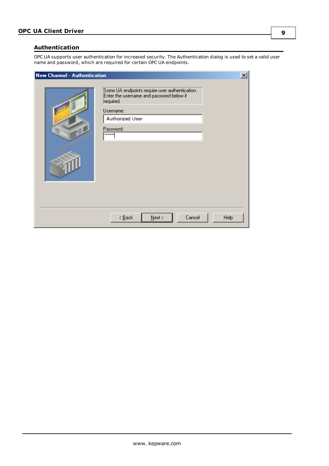#### <span id="page-8-1"></span><span id="page-8-0"></span>**Authentication**

OPC UA supports user authentication for increased security. The Authentication dialog is used to set a valid user name and password, which are required for certain OPC UA endpoints.

| New Channel - Authentication |                                                                                                                                                                       | $\vert x \vert$ |
|------------------------------|-----------------------------------------------------------------------------------------------------------------------------------------------------------------------|-----------------|
| 0                            | Some UA endpoints require user authentication.<br>Enter the username and password below if<br>required.<br>Username:<br>Authorized User<br>Password:<br><b>xxxxxx</b> |                 |
|                              | Cancel<br>$\leq$ $\underline{\mathsf{Back}}$<br>$N$ ext ><br>Help                                                                                                     |                 |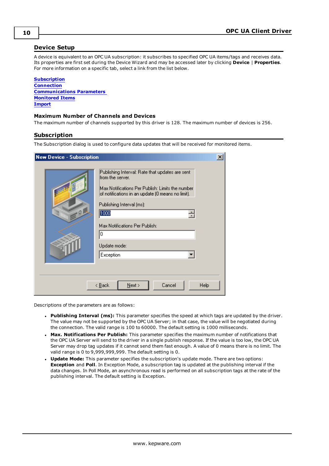#### <span id="page-9-0"></span>**Device Setup**

A device is equivalent to an OPC UA subscription: it subscribes to specified OPC UA items/tags and receives data. Its properties are first set during the Device Wizard and may be accessed later by clicking **Device** | **Properties**. For more information on a specific tab, select a link from the list below.

**[Subscription](#page-9-1) [Connection](#page-10-0) [Communications](#page-11-0) Parameters [Monitored](#page-12-0) Items [Import](#page-14-0)**

#### **Maximum Number of Channels and Devices**

<span id="page-9-1"></span>The maximum number of channels supported by this driver is 128. The maximum number of devices is 256.

#### **Subscription**

The Subscription dialog is used to configure data updates that will be received for monitored items.

| $\vert x \vert$<br><b>New Device - Subscription</b> |                                                                                                                                                                                                                                                                                             |  |
|-----------------------------------------------------|---------------------------------------------------------------------------------------------------------------------------------------------------------------------------------------------------------------------------------------------------------------------------------------------|--|
| .01                                                 | Publishing Interval: Rate that updates are sent-<br>from the server.<br>Max Notifications Per Publish: Limits the number<br>of notifications in an update (0 means no limit).<br>Publishing Interval (ms):<br>1000<br>극<br>Max Notifications Per Publish:<br>0<br>Update mode:<br>Exception |  |
|                                                     | $\leq$ $\underline{B}$ ack<br>Cancel<br>Help<br>$N$ ext >                                                                                                                                                                                                                                   |  |

- <span id="page-9-4"></span><sup>l</sup> **Publishing Interval (ms):** This parameter specifies the speed at which tags are updated by the driver. The value may not be supported by the OPC UA Server; in that case, the value will be negotiated during the connection. The valid range is 100 to 60000. The default setting is 1000 milliseconds.
- <span id="page-9-3"></span><sup>l</sup> **Max. Notifications Per Publish:** This parameter specifies the maximum number of notifications that the OPC UA Server will send to the driver in a single publish response. If the value is too low, the OPC UA Server may drop tag updates if it cannot send them fast enough. A value of 0 means there is no limit. The valid range is 0 to 9,999,999,999. The default setting is 0.
- <span id="page-9-2"></span><sup>l</sup> **Update Mode:** This parameter specifies the subscription's update mode. There are two options: **Exception** and **Poll**. In Exception Mode, a subscription tag is updated at the publishing interval if the data changes. In Poll Mode, an asynchronous read is performed on all subscription tags at the rate of the publishing interval. The default setting is Exception.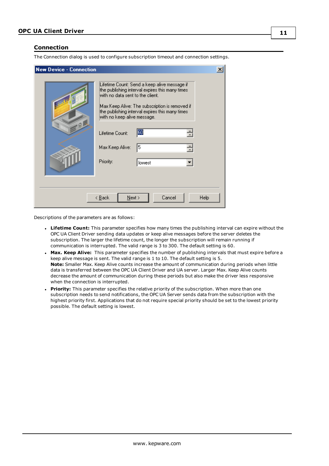#### <span id="page-10-0"></span>**Connection**

The Connection dialog is used to configure subscription timeout and connection settings.

| <b>New Device - Connection</b> |                                                                                                                                                                                                                                                                                                                                                           | $\overline{\mathbf{x}}$ |
|--------------------------------|-----------------------------------------------------------------------------------------------------------------------------------------------------------------------------------------------------------------------------------------------------------------------------------------------------------------------------------------------------------|-------------------------|
| $-0$                           | Lifetime Count: Send a keep alive message if<br>the publishing interval expires this many times<br>with no data sent to the client.<br>Max Keep Alive: The subscription is removed if<br>the publishing interval expires this many times<br>with no keep alive message.<br>60<br>÷<br>Lifetime Count:<br>싂<br>5<br>Max Keep Alive:<br>Priority:<br>lowest |                         |
|                                | Cancel<br>Help<br>< <u>B</u> ack<br>$N$ ext >                                                                                                                                                                                                                                                                                                             |                         |

- <span id="page-10-2"></span>**Lifetime Count:** This parameter specifies how many times the publishing interval can expire without the OPC UA Client Driver sending data updates or keep alive messages before the server deletes the subscription. The larger the lifetime count, the longer the subscription will remain running if communication is interrupted. The valid range is 3 to 300. The default setting is 60.
- <span id="page-10-1"></span><sup>l</sup> **Max. Keep Alive:** This parameter specifies the number of publishing intervals that must expire before a keep alive message is sent. The valid range is 1 to 10. The default setting is 5. **Note:** Smaller Max. Keep Alive counts increase the amount of communication during periods when little data is transferred between the OPC UA Client Driver and UA server. Larger Max. Keep Alive counts decrease the amount of communication during these periods but also make the driver less responsive when the connection is interrupted.
- <span id="page-10-3"></span>**Priority:** This parameter specifies the relative priority of the subscription. When more than one subscription needs to send notifications, the OPC UA Server sends data from the subscription with the highest priority first. Applications that do not require special priority should be set to the lowest priority possible. The default setting is lowest.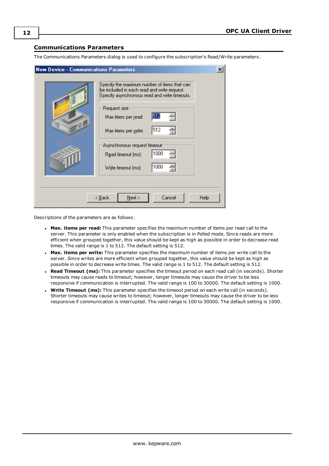#### <span id="page-11-0"></span>**Communications Parameters**

The Communications Parameters dialog is used to configure the subscription's Read/Write parameters.

| <b>New Device - Communications Parameters</b> |                                                                                                                                              | $\vert x \vert$ |
|-----------------------------------------------|----------------------------------------------------------------------------------------------------------------------------------------------|-----------------|
|                                               | Specify the maximum number of items that can<br>be included in each read and write request.<br>Specify asynchronous read and write timeouts. |                 |
| $-9$                                          | Request size<br>512<br>Max items per <u>r</u> ead:<br>512<br>싁                                                                               |                 |
|                                               | Max items per <u>w</u> rite:<br>Asynchronous request timeout-<br>1000<br>Read timeout (ms):                                                  |                 |
|                                               | 1000<br>Write timeout (ms):                                                                                                                  |                 |
|                                               | < <u>B</u> ack<br>Cancel<br>$N$ ext >                                                                                                        | Help            |

- <sup>l</sup> **Max. items per read:** This parameter specifies the maximum number of items per read call to the server. This parameter is only enabled when the subscription is in Polled mode. Since reads are more efficient when grouped together, this value should be kept as high as possible in order to decrease read times. The valid range is 1 to 512. The default setting is 512.
- <sup>l</sup> **Max. items per write:** This parameter specifies the maximum number of items per write call to the server. Since writes are more efficient when grouped together, this value should be kept as high as possible in order to decrease write times. The valid range is 1 to 512. The default setting is 512.
- <span id="page-11-1"></span><sup>l</sup> **Read Timeout (ms):** This parameter specifies the timeout period on each read call (in seconds). Shorter timeouts may cause reads to timeout; however, longer timeouts may cause the driver to be less responsive if communication is interrupted. The valid range is 100 to 30000. The default setting is 1000.
- <sup>l</sup> **Write Timeout (ms):** This parameter specifies the timeout period on each write call (in seconds). Shorter timeouts may cause writes to timeout; however, longer timeouts may cause the driver to be less responsive if communication is interrupted. The valid range is 100 to 30000. The default setting is 1000.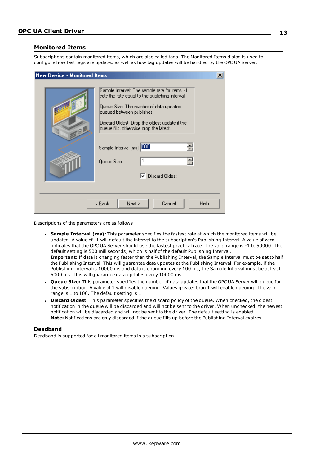#### <span id="page-12-0"></span>**Monitored Items**

Subscriptions contain monitored items, which are also called tags. The Monitored Items dialog is used to configure how fast tags are updated as well as how tag updates will be handled by the OPC UA Server.

| <b>New Device - Monitored Items</b>                                                                                                                                                                                                                                                                                                            | $\boldsymbol{\mathsf{x}}$ |
|------------------------------------------------------------------------------------------------------------------------------------------------------------------------------------------------------------------------------------------------------------------------------------------------------------------------------------------------|---------------------------|
| Sample Interval: The sample rate for items. -1<br>sets the rate equal to the publishing interval.<br>Queue Size: The number of data updates<br>queued between publishes.<br>Discard Oldest: Drop the oldest update if the<br>queue fills, otherwise drop the latest.<br>Sample Interval (ms): 300<br>Queue Size:<br><b>Discard Oldest</b><br>⊽ | 싂<br>릨                    |
| $N$ ext ><br>< <u>B</u> ack                                                                                                                                                                                                                                                                                                                    | Cancel<br>Help            |

Descriptions of the parameters are as follows:

- <span id="page-12-3"></span><sup>l</sup> **Sample Interval (ms):** This parameter specifies the fastest rate at which the monitored items will be updated. A value of -1 will default the interval to the subscription's Publishing Interval. A value of zero indicates that the OPC UA Server should use the fastest practical rate. The valid range is -1 to 50000. The default setting is 500 milliseconds, which is half of the default Publishing Interval. Important: If data is changing faster than the Publishing Interval, the Sample Interval must be set to half the Publishing Interval. This will guarantee data updates at the Publishing Interval. For example, if the Publishing Interval is 10000 ms and data is changing every 100 ms, the Sample Interval must be at least 5000 ms. This will guarantee data updates every 10000 ms.
- <span id="page-12-2"></span><sup>l</sup> **Queue Size:** This parameter specifies the number of data updates that the OPC UA Server will queue for the subscription. A value of 1 will disable queuing. Values greater than 1 will enable queuing. The valid range is 1 to 100. The default setting is 1.
- <span id="page-12-1"></span>**Discard Oldest:** This parameter specifies the discard policy of the queue. When checked, the oldest notification in the queue will be discarded and will not be sent to the driver. When unchecked, the newest notification will be discarded and will not be sent to the driver. The default setting is enabled. **Note:** Notifications are only discarded if the queue fills up before the Publishing Interval expires.

#### **Deadband**

Deadband is supported for all monitored items in a subscription.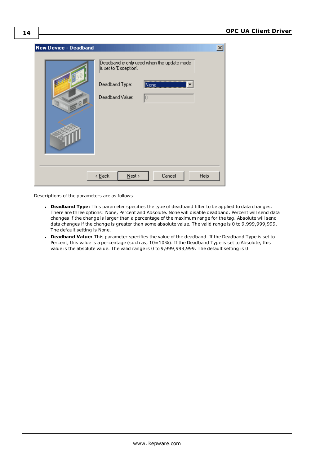| New Device - Deadband |                                                                                                                   | $\vert x \vert$ |
|-----------------------|-------------------------------------------------------------------------------------------------------------------|-----------------|
| $-$ 01                | Deadband is only used when the update mode<br>is set to 'Exception'.<br>Deadband Type:<br>None<br>Deadband Value: |                 |
|                       | Cancel<br>$\leq$ $\underline{\mathsf{B}}$ ack<br>Help<br>$N$ ext >                                                |                 |

- **· Deadband Type:** This parameter specifies the type of deadband filter to be applied to data changes. There are three options: None, Percent and Absolute. None will disable deadband. Percent will send data changes if the change is larger than a percentage of the maximum range for the tag. Absolute will send data changes if the change is greater than some absolute value. The valid range is 0 to 9,999,999,999. The default setting is None.
- **.** Deadband Value: This parameter specifies the value of the deadband. If the Deadband Type is set to Percent, this value is a percentage (such as, 10=10%). If the Deadband Type is set to Absolute, this value is the absolute value. The valid range is 0 to 9,999,999,999. The default setting is 0.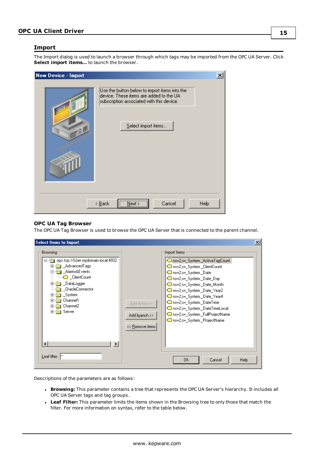#### <span id="page-14-0"></span>**Import**

The Import dialog is used to launch a browser through which tags may be imported from the OPC UA Server. Click **Select import items…** to launch the browser.

| <b>New Device - Import</b> |                                                                                                                                                              | $\vert x \vert$ |
|----------------------------|--------------------------------------------------------------------------------------------------------------------------------------------------------------|-----------------|
| Q                          | Use the button below to import items into the<br>device. These items are added to the UA<br>subscription associated with this device.<br>Select import items |                 |
|                            | Next<br>Cancel<br>Help<br>$\leq$ $\underline{\mathsf{B}}$ ack                                                                                                |                 |

#### **OPC UA Tag Browser**

The OPC UA Tag Browser is used to browse the OPC UA Server that is connected to the parent channel.

| <b>Select Items to Import</b>                                                                                                                                                                                                                            |                                                  |                                                                                                                                                                                                                                                                                                                                                                                                                   | $\vert x \vert$ |
|----------------------------------------------------------------------------------------------------------------------------------------------------------------------------------------------------------------------------------------------------------|--------------------------------------------------|-------------------------------------------------------------------------------------------------------------------------------------------------------------------------------------------------------------------------------------------------------------------------------------------------------------------------------------------------------------------------------------------------------------------|-----------------|
| <b>Browsing</b><br>opc.tcp://User.mydomain.local:4932<br><b>AdvancedTags</b><br>田<br>Alarms&Events<br>— © ClientCount<br>1 DataLogger<br>$\overline{+}$<br>_OracleConnector<br>System<br>曱<br>Channel1<br>曱<br>Channel <sub>2</sub><br>曱<br>Server<br>中国 | Add items >><br>Add branch >><br><< Remove items | Import Items:<br>ns=2;s=_System._ActiveTagCount<br><b>Solution</b> ns=2;s= System. ClientCount<br>ms=2;s= System, Date<br>ms=2;s=_System,_Date_Day<br>ms=2;s=_System._Date_Month<br>ms=2;s= System. Date Year2<br>ms=2;s= System. Date Year4<br><b>Solution</b> ns=2;s=_System._DateTime<br>ms=2;s=_System._DateTimeLocal<br><b>Solution</b> ns=2;s= System. FullProjectName<br><b>Soldier System</b> ProjectName |                 |
| $\blacktriangleright$<br>$\mathsf{Leaf}$ filter: $ ^*$                                                                                                                                                                                                   |                                                  | OK.<br>Help<br>Cancel                                                                                                                                                                                                                                                                                                                                                                                             |                 |

- <sup>l</sup> **Browsing:** This parameter contains a tree that represents the OPC UA Server's hierarchy. It includes all OPC UA Server tags and tag groups.
- <span id="page-14-1"></span><sup>l</sup> **Leaf Filter:** This parameter limits the items shown in the Browsing tree to only those that match the filter. For more information on syntax, refer to the table below.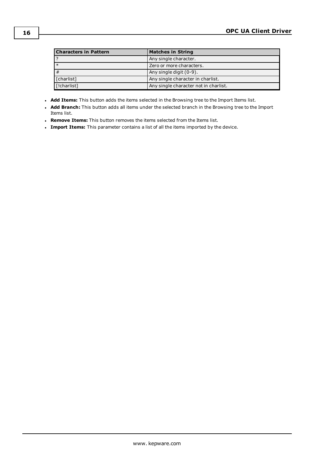| <b>Characters in Pattern</b> | <b>Matches in String</b>              |  |
|------------------------------|---------------------------------------|--|
|                              | Any single character.                 |  |
| $*$                          | Zero or more characters.              |  |
| #                            | Any single digit (0-9).               |  |
| [charlist]                   | Any single character in charlist.     |  |
| [!charlist]                  | Any single character not in charlist. |  |

- <span id="page-15-0"></span>**Add Items:** This button adds the items selected in the Browsing tree to the Import Items list.
- **Add Branch:** This button adds all items under the selected branch in the Browsing tree to the Import Items list.
- **Remove Items:** This button removes the items selected from the Items list.
- **Import Items:** This parameter contains a list of all the items imported by the device.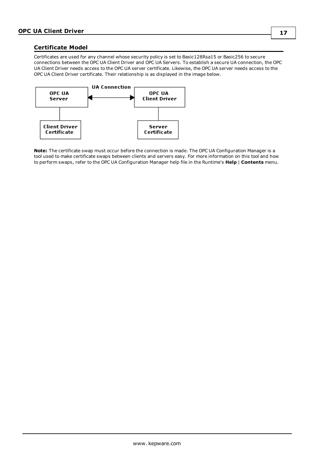#### <span id="page-16-0"></span>**Certificate Model**

Certificates are used for any channel whose security policy is set to Basic128Rsa15 or Basic256 to secure connections between the OPC UA Client Driver and OPC UA Servers. To establish a secure UA connection, the OPC UA Client Driver needs access to the OPC UA server certificate. Likewise, the OPC UA server needs access to the OPC UA Client Driver certificate. Their relationship is as displayed in the image below.



**Note:** The certificate swap must occur before the connection is made. The OPC UA Configuration Manager is a tool used to make certificate swaps between clients and servers easy. For more information on this tool and how to perform swaps, refer to the OPC UA Configuration Manager help file in the Runtime's **Help** | **Contents** menu.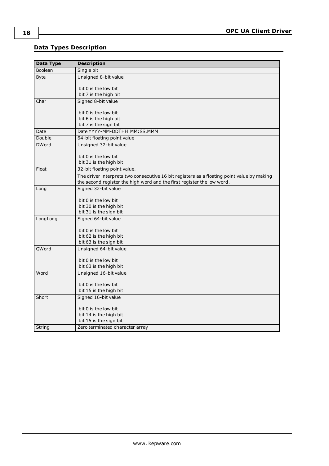# <span id="page-17-0"></span>**Data Types Description**

<span id="page-17-13"></span><span id="page-17-12"></span><span id="page-17-11"></span><span id="page-17-10"></span><span id="page-17-9"></span><span id="page-17-8"></span><span id="page-17-7"></span><span id="page-17-6"></span><span id="page-17-5"></span><span id="page-17-4"></span><span id="page-17-3"></span><span id="page-17-2"></span><span id="page-17-1"></span>

| Data Type    | <b>Description</b>                                                                                                                                                   |
|--------------|----------------------------------------------------------------------------------------------------------------------------------------------------------------------|
| Boolean      | Single bit                                                                                                                                                           |
| <b>Byte</b>  | Unsigned 8-bit value                                                                                                                                                 |
|              |                                                                                                                                                                      |
|              | bit 0 is the low bit<br>bit 7 is the high bit                                                                                                                        |
| Char         | Signed 8-bit value                                                                                                                                                   |
|              |                                                                                                                                                                      |
|              | bit 0 is the low bit                                                                                                                                                 |
|              | bit 6 is the high bit                                                                                                                                                |
|              | bit 7 is the sign bit                                                                                                                                                |
| Date         | Date YYYY-MM-DDTHH: MM: SS. MMM                                                                                                                                      |
| Double       | 64-bit floating point value                                                                                                                                          |
| <b>DWord</b> | Unsigned 32-bit value                                                                                                                                                |
|              |                                                                                                                                                                      |
|              | bit 0 is the low bit<br>bit 31 is the high bit                                                                                                                       |
| Float        | 32-bit floating point value.                                                                                                                                         |
|              |                                                                                                                                                                      |
|              | The driver interprets two consecutive 16 bit registers as a floating point value by making<br>the second register the high word and the first register the low word. |
|              | Signed 32-bit value                                                                                                                                                  |
| Long         |                                                                                                                                                                      |
|              | bit 0 is the low bit                                                                                                                                                 |
|              | bit 30 is the high bit                                                                                                                                               |
|              | bit 31 is the sign bit                                                                                                                                               |
| LongLong     | Signed 64-bit value                                                                                                                                                  |
|              |                                                                                                                                                                      |
|              | bit 0 is the low bit                                                                                                                                                 |
|              | bit 62 is the high bit<br>bit 63 is the sign bit                                                                                                                     |
| QWord        | Unsigned 64-bit value                                                                                                                                                |
|              |                                                                                                                                                                      |
|              | bit 0 is the low bit                                                                                                                                                 |
|              | bit 63 is the high bit                                                                                                                                               |
| Word         | Unsigned 16-bit value                                                                                                                                                |
|              |                                                                                                                                                                      |
|              | bit 0 is the low bit                                                                                                                                                 |
|              | bit 15 is the high bit                                                                                                                                               |
| Short        | Signed 16-bit value                                                                                                                                                  |
|              | bit 0 is the low bit                                                                                                                                                 |
|              | bit 14 is the high bit                                                                                                                                               |
|              | bit 15 is the sign bit                                                                                                                                               |
| String       | Zero terminated character array                                                                                                                                      |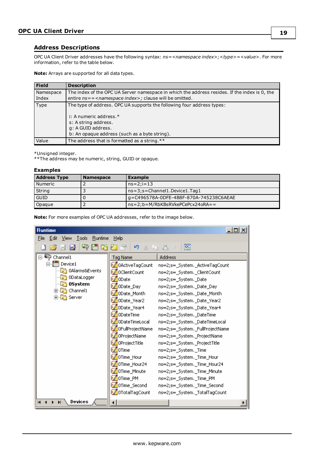#### <span id="page-18-0"></span>**Address Descriptions**

OPC UA Client Driver addresses have the following syntax: *ns=<namespace index>;<type>=<value>*. For more information, refer to the table below.

**Note:** Arrays are supported for all data types.

| Field     | <b>Description</b>                                                                            |
|-----------|-----------------------------------------------------------------------------------------------|
| Namespace | The index of the OPC UA Server namespace in which the address resides. If the index is 0, the |
| Index     | entire ns = = < namespace index>; clause will be omitted.                                     |
| Type      | The type of address. OPC UA supports the following four address types:                        |
|           | i: A numeric address.*                                                                        |
|           | s: A string address.                                                                          |
|           | q: A GUID address.                                                                            |
|           | b: An opaque address (such as a byte string).                                                 |
| Value     | The address that is formatted as a string. **                                                 |

\*Unsigned integer.

\*\*The address may be numeric, string, GUID or opaque.

#### **Examples**

| <b>Address Type</b> | <b>Namespace</b> | <b>Example</b>                         |  |
|---------------------|------------------|----------------------------------------|--|
| l Numeric           |                  | $ns=2:i=13$                            |  |
| String              |                  | $ns=3; s=Channel1. Device1. Taq1$      |  |
| <b>GUID</b>         |                  | q=C496578A-0DFE-4B8F-870A-745238C6AEAE |  |
| Opaque              |                  | ns=2;b=M/RbKBsRVkePCePcx24oRA==        |  |

**Note:** For more examples of OPC UA addresses, refer to the image below.

| <b>Runtime</b>                                          |                            | $ \Box$ $\times$                |  |  |  |
|---------------------------------------------------------|----------------------------|---------------------------------|--|--|--|
| Tools<br><b>Runtime</b><br>Help<br>File<br>Edit<br>View |                            |                                 |  |  |  |
| 鸥<br>中国防红色<br>6 8 7<br>りょ もち×                           |                            |                                 |  |  |  |
| ⊟ <sup>…ii</sup> ⊟ Channel1                             | <b>Tag Name</b>            | Address                         |  |  |  |
| ⊟ ill Device1                                           | 0ActiveTagCount            | ns=2;s=_System._ActiveTagCount  |  |  |  |
| 0Alarms&Events                                          | <b><i>ColientCount</i></b> | ns=2;s=_System._ClientCount     |  |  |  |
| 0DataLogger                                             | ®∥0Date                    | ns=2;s=_System._Date            |  |  |  |
| 05ystem                                                 | © ODate_Day                | ns=2;s=_System._Date_Day        |  |  |  |
| 田 G Channel1<br>由 Server                                | <mark>● ODate_Month</mark> | ns=2;s=_System._Date_Month      |  |  |  |
|                                                         | <mark>⊚</mark> ODate_Year2 | ns=2;s=_System._Date_Year2      |  |  |  |
|                                                         | <mark>©</mark> ODate_Year4 | ns=2;s=_System._Date_Year4      |  |  |  |
|                                                         | ODateTime                  | ns=2;s=_System._DateTime        |  |  |  |
|                                                         | <u>● ODateTimeLocal</u>    | ns=2;s=_System._DateTimeLocal   |  |  |  |
|                                                         | OFullProjectName           | ns=2;s= System. FullProjectName |  |  |  |
|                                                         | OProjectName               | ns=2;s=_System._ProjectName     |  |  |  |
|                                                         | OProjectTitle              | ns=2;s=_System._ProjectTitle    |  |  |  |
|                                                         | <i>● D</i> Time            | ns=2;s=_System._Time            |  |  |  |
|                                                         | OTime_Hour                 | ns=2;s=_System._Time_Hour       |  |  |  |
|                                                         |                            | ns=2;s=_System._Time_Hour24     |  |  |  |
|                                                         | OTime_Minute               | ns=2;s=_System._Time_Minute     |  |  |  |
|                                                         | OTime_PM                   | ns=2;s=_System._Time_PM         |  |  |  |
|                                                         | © OTime_Second             | ns=2;s=_System._Time_Second     |  |  |  |
|                                                         | OTotalTagCount             | ns=2;s=_System._TotalTagCount   |  |  |  |
| Devices<br>$\blacksquare$<br>$\blacktriangleright$      |                            |                                 |  |  |  |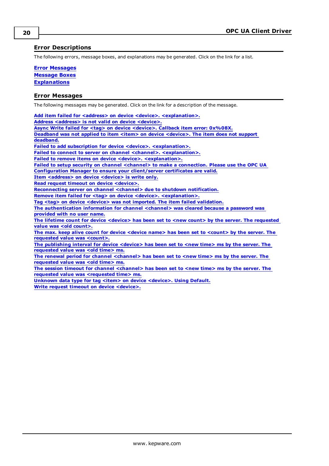#### <span id="page-19-0"></span>**Error Descriptions**

The following errors, message boxes, and explanations may be generated. Click on the link for a list.

**Error [Messages](#page-19-1) [Message](#page-26-0) Boxes [Explanations](#page-27-3)**

#### <span id="page-19-1"></span>**Error Messages**

The following messages may be generated. Click on the link for a description of the message.

Add item failed for **<address>** on device <device>. [<explanation>.](#page-20-0) **Address [<address>](#page-20-1) is not valid on device <device>. Async Write failed for <tag> on device [<device>.](#page-20-2) Callback item error: 0x%08X. Deadband was not applied to item <item> on device [<device>.](#page-21-0) The item does not support [deadband.](#page-21-0) Failed to add subscription for device <device>. [<explanation>.](#page-21-1) Failed to connect to server on channel <channel>. [<explanation>.](#page-21-2) Failed to remove items on device <device>. [<explanation>.](#page-21-3) Failed to setup security on channel <channel> to make a [connection.](#page-22-0) Please use the OPC UA [Configuration](#page-22-0) Manager to ensure your client/server certificates are valid. Item [<address>](#page-22-1) on device <device> is write only. Read request timeout on device [<device>.](#page-22-2) [Reconnecting](#page-23-0) server on channel <channel> due to shutdown notification. Remove item failed for <tag> on device <device>. [<explanation>.](#page-23-1) Tag <tag> on device <device> was not imported. The item failed [validation.](#page-23-2) The [authentication](#page-24-0) information for channel <channel> was cleared because a password was [provided](#page-24-0) with no user name. The lifetime count for device <device> has been set to <new count> by the server. The [requested](#page-24-1) value was <old [count>.](#page-24-1) The max. keep alive count for device <device name> has been set to [<count>](#page-24-2) by the server. The [requested](#page-24-2) value was <count>. The [publishing](#page-25-0) interval for device <device> has been set to <new time> ms by the server. The [requested](#page-25-0) value was <old time> ms. The renewal period for channel [<channel>](#page-25-1) has been set to <new time> ms by the server. The [requested](#page-25-1) value was <old time> ms. The session timeout for channel [<channel>](#page-25-2) has been set to <new time> ms by the server. The**

**requested value was [<requested](#page-25-2) time> ms.**

**Unknown data type for tag <item> on device [<device>.](#page-25-3) Using Default. Write request timeout on device [<device>.](#page-25-4)**

**20**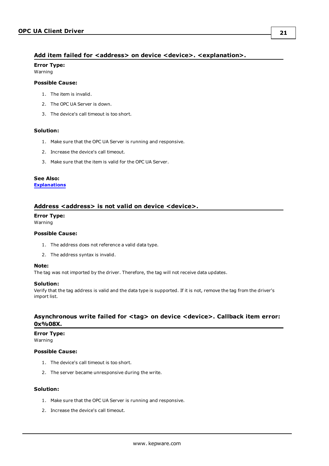#### <span id="page-20-0"></span>**Add item failed for <address> on device <device>. <explanation>.**

### **Error Type:**

Warning

#### **Possible Cause:**

- 1. The item is invalid.
- 2. The OPC UA Server is down.
- 3. The device's call timeout is too short.

#### **Solution:**

- 1. Make sure that the OPC UA Server is running and responsive.
- 2. Increase the device's call timeout.
- 3. Make sure that the item is valid for the OPC UA Server.

#### **See Also:**

**[Explanations](#page-27-3)**

#### <span id="page-20-1"></span>**Address <address> is not valid on device <device>.**

#### **Error Type:**

Warning

#### **Possible Cause:**

- 1. The address does not reference a valid data type.
- 2. The address syntax is invalid.

#### **Note:**

The tag was not imported by the driver. Therefore, the tag will not receive data updates.

#### **Solution:**

Verify that the tag address is valid and the data type is supported. If it is not, remove the tag from the driver's import list.

#### <span id="page-20-2"></span>**Asynchronous write failed for <tag> on device <device>. Callback item error: 0x%08X.**

#### **Error Type:**

Warning

#### **Possible Cause:**

- 1. The device's call timeout is too short.
- 2. The server became unresponsive during the write.

#### **Solution:**

- 1. Make sure that the OPC UA Server is running and responsive.
- 2. Increase the device's call timeout.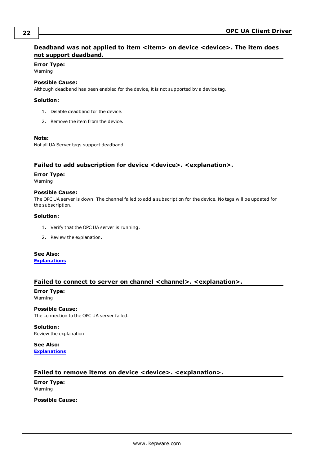## <span id="page-21-0"></span>**Deadband was not applied to item <item> on device <device>. The item does not support deadband.**

## **Error Type:**

Warning

#### **Possible Cause:**

Although deadband has been enabled for the device, it is not supported by a device tag.

#### **Solution:**

- 1. Disable deadband for the device.
- 2. Remove the item from the device.

#### **Note:**

Not all UA Server tags support deadband.

#### <span id="page-21-1"></span>**Failed to add subscription for device <device>. <explanation>.**

#### **Error Type:**

Warning

#### **Possible Cause:**

The OPC UA server is down. The channel failed to add a subscription for the device. No tags will be updated for the subscription.

#### **Solution:**

- 1. Verify that the OPC UA server is running.
- 2. Review the explanation.

#### **See Also:**

**[Explanations](#page-27-3)**

#### <span id="page-21-2"></span>**Failed to connect to server on channel <channel>. <explanation>.**

**Error Type:** Warning

**Possible Cause:** The connection to the OPC UA server failed.

#### **Solution:**

Review the explanation.

**See Also: [Explanations](#page-27-3)**

#### <span id="page-21-3"></span>**Failed to remove items on device <device>. <explanation>.**

**Error Type:** Warning

**Possible Cause:**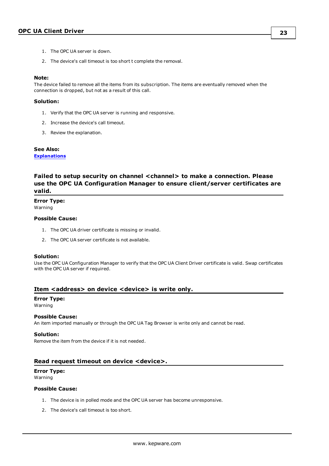- 1. The OPC UA server is down.
- 2. The device's call timeout is too short t complete the removal.

#### **Note:**

The device failed to remove all the items from its subscription. The items are eventually removed when the connection is dropped, but not as a result of this call.

#### **Solution:**

- 1. Verify that the OPC UA server is running and responsive.
- 2. Increase the device's call timeout.
- 3. Review the explanation.

#### **See Also:**

**[Explanations](#page-27-3)**

### <span id="page-22-0"></span>**Failed to setup security on channel <channel> to make a connection. Please use the OPC UA Configuration Manager to ensure client/server certificates are valid.**

#### **Error Type:**

Warning

#### **Possible Cause:**

- 1. The OPC UA driver certificate is missing or invalid.
- 2. The OPC UA server certificate is not available.

#### **Solution:**

Use the OPC UA Configuration Manager to verify that the OPC UA Client Driver certificate is valid. Swap certificates with the OPC UA server if required.

#### <span id="page-22-1"></span>**Item <address> on device <device> is write only.**

#### **Error Type:**

Warning

#### **Possible Cause:**

An item imported manually or through the OPC UA Tag Browser is write only and cannot be read.

#### **Solution:**

Remove the item from the device if it is not needed.

#### <span id="page-22-2"></span>**Read request timeout on device <device>.**

#### **Error Type:**

Warning

#### **Possible Cause:**

- 1. The device is in polled mode and the OPC UA server has become unresponsive.
- 2. The device's call timeout is too short.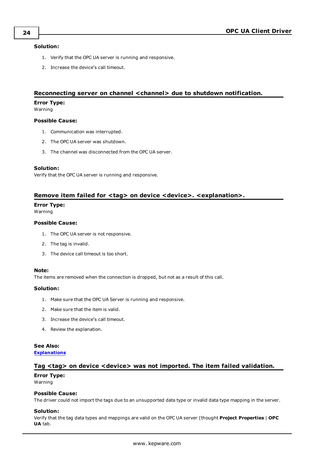#### **Solution:**

- 1. Verify that the OPC UA server is running and responsive.
- 2. Increase the device's call timeout.

#### <span id="page-23-0"></span>**Reconnecting server on channel <channel> due to shutdown notification.**

#### **Error Type:**

Warning

#### **Possible Cause:**

- 1. Communication was interrupted.
- 2. The OPC UA server was shutdown.
- 3. The channel was disconnected from the OPC UA server.

#### **Solution:**

Verify that the OPC UA server is running and responsive.

#### <span id="page-23-1"></span>**Remove item failed for <tag> on device <device>. <explanation>.**

#### **Error Type:**

Warning

#### **Possible Cause:**

- 1. The OPC UA server is not responsive.
- 2. The tag is invalid.
- 3. The device call timeout is too short.

#### **Note:**

The items are removed when the connection is dropped, but not as a result of this call.

#### **Solution:**

- 1. Make sure that the OPC UA Server is running and responsive.
- 2. Make sure that the item is valid.
- 3. Increase the device's call timeout.
- 4. Review the explanation.

#### **See Also:**

<span id="page-23-2"></span>**[Explanations](#page-27-3)**

#### **Tag <tag> on device <device> was not imported. The item failed validation.**

# **Error Type:**

Warning

#### **Possible Cause:**

The driver could not import the tags due to an unsupported data type or invalid data type mapping in the server.

#### **Solution:**

Verify that the tag data types and mappings are valid on the OPC UA server (thought **Project Properties** | **OPC UA** tab.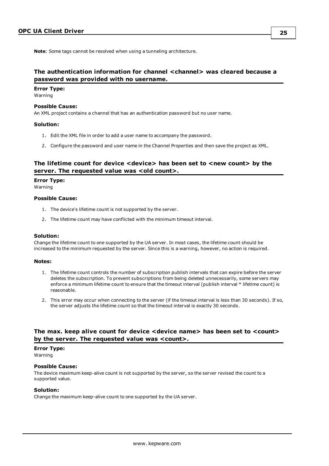**Note**: Some tags cannot be resolved when using a tunneling architecture.

### <span id="page-24-0"></span>**The authentication information for channel <channel> was cleared because a password was provided with no username.**

#### **Error Type:** Warning

#### **Possible Cause:**

An XML project contains a channel that has an authentication password but no user name.

#### **Solution:**

- 1. Edit the XML file in order to add a user name to accompany the password.
- 2. Configure the password and user name in the Channel Properties and then save the project as XML.

#### <span id="page-24-1"></span>**The lifetime count for device <device> has been set to <new count> by the server. The requested value was <old count>.**

#### **Error Type:**

Warning

#### **Possible Cause:**

- 1. The device's lifetime count is not supported by the server.
- 2. The lifetime count may have conflicted with the minimum timeout interval.

#### **Solution:**

Change the lifetime count to one supported by the UA server. In most cases, the lifetime count should be increased to the minimum requested by the server. Since this is a warning, however, no action is required.

#### **Notes:**

- 1. The lifetime count controls the number of subscription publish intervals that can expire before the server deletes the subscription. To prevent subscriptions from being deleted unnecessarily, some servers may enforce a minimum lifetime count to ensure that the timeout interval (publish interval \* lifetime count) is reasonable.
- 2. This error may occur when connecting to the server (if the timeout interval is less than 30 seconds). If so, the server adjusts the lifetime count so that the timeout interval is exactly 30 seconds.

#### <span id="page-24-2"></span>**The max. keep alive count for device <device name> has been set to <count> by the server. The requested value was <count>.**

#### **Error Type:**

Warning

#### **Possible Cause:**

The device maximum keep-alive count is not supported by the server, so the server revised the count to a supported value.

#### **Solution:**

Change the maximum keep-alive count to one supported by the UA server.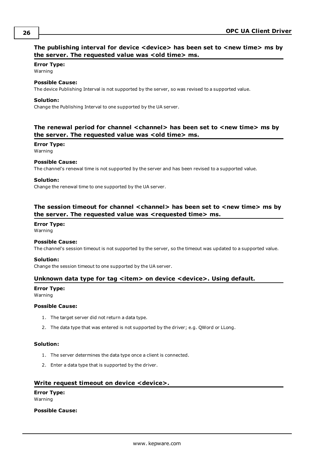### <span id="page-25-0"></span>**The publishing interval for device <device> has been set to <new time> ms by the server. The requested value was <old time> ms.**

#### **Error Type:**

Warning

#### **Possible Cause:**

The device Publishing Interval is not supported by the server, so was revised to a supported value.

#### **Solution:**

Change the Publishing Interval to one supported by the UA server.

#### <span id="page-25-1"></span>**The renewal period for channel <channel> has been set to <new time> ms by the server. The requested value was <old time> ms.**

### **Error Type:**

Warning

#### **Possible Cause:**

The channel's renewal time is not supported by the server and has been revised to a supported value.

#### **Solution:**

Change the renewal time to one supported by the UA server.

### <span id="page-25-2"></span>**The session timeout for channel <channel> has been set to <new time> ms by the server. The requested value was <requested time> ms.**

#### **Error Type:**

Warning

#### **Possible Cause:**

The channel's session timeout is not supported by the server, so the timeout was updated to a supported value.

#### **Solution:**

<span id="page-25-3"></span>Change the session timeout to one supported by the UA server.

#### **Unknown data type for tag <item> on device <device>. Using default.**

#### **Error Type:**

Warning

#### **Possible Cause:**

- 1. The target server did not return a data type.
- 2. The data type that was entered is not supported by the driver; e.g. QWord or LLong.

#### **Solution:**

- 1. The server determines the data type once a client is connected.
- 2. Enter a data type that is supported by the driver.

#### <span id="page-25-4"></span>**Write request timeout on device <device>.**

# **Error Type:**

Warning

#### **Possible Cause:**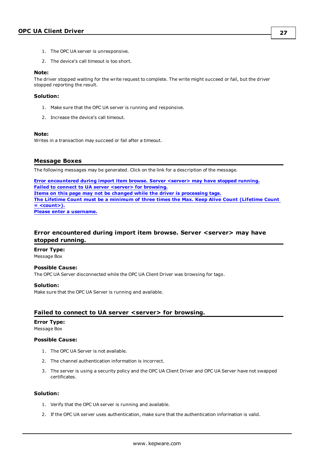- 1. The OPC UA server is unresponsive.
- 2. The device's call timeout is too short.

#### **Note:**

The driver stopped waiting for the write request to complete. The write might succeed or fail, but the driver stopped reporting the result.

#### **Solution:**

- 1. Make sure that the OPC UA server is running and responsive.
- 2. Increase the device's call timeout.

#### **Note:**

Writes in a transaction may succeed or fail after a timeout.

#### <span id="page-26-0"></span>**Message Boxes**

The following messages may be generated. Click on the link for a description of the message.

**Error [encountered](#page-26-1) during import item browse. Server <server> may have stopped running. Failed to connect to UA server <server> for [browsing.](#page-26-2) Items on this page may not be changed while the driver is [processing](#page-27-0) tags. The Lifetime Count must be a [minimum](#page-27-1) of three times the Max. Keep Alive Count (Lifetime Count = [<count>\).](#page-27-1) Please enter a [username.](#page-27-2)**

## <span id="page-26-1"></span>**Error encountered during import item browse. Server <server> may have stopped running.**

**Error Type:** Message Box

#### **Possible Cause:**

The OPC UA Server disconnected while the OPC UA Client Driver was browsing for tags.

#### **Solution:**

Make sure that the OPC UA Server is running and available.

#### <span id="page-26-2"></span>**Failed to connect to UA server <server> for browsing.**

# **Error Type:**

Message Box

#### **Possible Cause:**

- 1. The OPC UA Server is not available.
- 2. The channel authentication information is incorrect.
- 3. The server is using a security policy and the OPC UA Client Driver and OPC UA Server have not swapped certificates.

#### **Solution:**

- 1. Verify that the OPC UA server is running and available.
- 2. If the OPC UA server uses authentication, make sure that the authentication information is valid.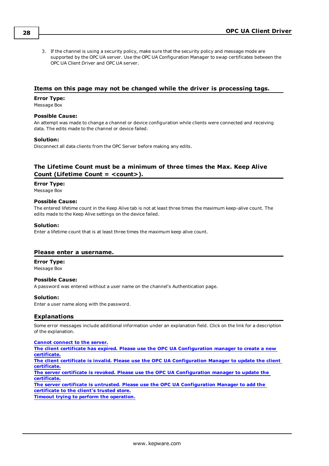3. If the channel is using a security policy, make sure that the security policy and message mode are supported by the OPC UA server. Use the OPC UA Configuration Manager to swap certificates between the OPC UA Client Driver and OPC UA server.

#### <span id="page-27-0"></span>**Items on this page may not be changed while the driver is processing tags.**

#### **Error Type:**

Message Box

#### **Possible Cause:**

An attempt was made to change a channel or device configuration while clients were connected and receiving data. The edits made to the channel or device failed.

#### **Solution:**

Disconnect all data clients from the OPC Server before making any edits.

### <span id="page-27-1"></span>**The Lifetime Count must be a minimum of three times the Max. Keep Alive Count (Lifetime Count = <count>).**

#### **Error Type:**

Message Box

#### **Possible Cause:**

The entered lifetime count in the Keep Alive tab is not at least three times the maximum keep-alive count. The edits made to the Keep Alive settings on the device failed.

#### **Solution:**

Enter a lifetime count that is at least three times the maximum keep alive count.

#### <span id="page-27-2"></span>**Please enter a username.**

**Error Type:** Message Box

#### **Possible Cause:**

A password was entered without a user name on the channel's Authentication page.

#### **Solution:**

<span id="page-27-3"></span>Enter a user name along with the password.

#### **Explanations**

Some error messages include additional information under an explanation field. Click on the link for a description of the explanation.

#### **Cannot [connect](#page-28-0) to the server.**

**The client certificate has expired. Please use the OPC UA [Configuration](#page-28-1) manager to create a new [certificate.](#page-28-1) The client certificate is invalid. Please use the OPC UA [Configuration](#page-28-2) Manager to update the client [certificate.](#page-28-2)**

**The server certificate is revoked. Please use the OPC UA [Configuration](#page-28-3) manager to update the [certificate.](#page-28-3)**

**The server certificate is untrusted. Please use the OPC UA [Configuration](#page-28-4) Manager to add the [certificate](#page-28-4) to the client's trusted store.**

**Timeout trying to perform the [operation.](#page-28-5)**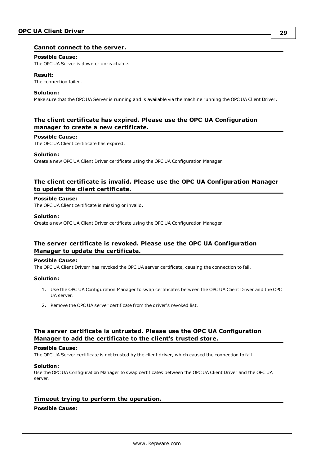#### <span id="page-28-0"></span>**Cannot connect to the server.**

#### **Possible Cause:**

The OPC UA Server is down or unreachable.

#### **Result:**

The connection failed.

#### **Solution:**

Make sure that the OPC UA Server is running and is available via the machine running the OPC UA Client Driver.

### <span id="page-28-1"></span>**The client certificate has expired. Please use the OPC UA Configuration manager to create a new certificate.**

#### **Possible Cause:**

The OPC UA Client certificate has expired.

#### **Solution:**

Create a new OPC UA Client Driver certificate using the OPC UA Configuration Manager.

#### <span id="page-28-2"></span>**The client certificate is invalid. Please use the OPC UA Configuration Manager to update the client certificate.**

#### **Possible Cause:**

The OPC UA Client certificate is missing or invalid.

#### **Solution:**

Create a new OPC UA Client Driver certificate using the OPC UA Configuration Manager.

#### <span id="page-28-3"></span>**The server certificate is revoked. Please use the OPC UA Configuration Manager to update the certificate.**

#### **Possible Cause:**

The OPC UA Client Driverr has revoked the OPC UA server certificate, causing the connection to fail.

#### **Solution:**

- 1. Use the OPC UA Configuration Manager to swap certificates between the OPC UA Client Driver and the OPC UA server.
- 2. Remove the OPC UA server certificate from the driver's revoked list.

#### <span id="page-28-4"></span>**The server certificate is untrusted. Please use the OPC UA Configuration Manager to add the certificate to the client's trusted store.**

#### **Possible Cause:**

The OPC UA Server certificate is not trusted by the client driver, which caused the connection to fail.

#### **Solution:**

Use the OPC UA Configuration Manager to swap certificates between the OPC UA Client Driver and the OPC UA server.

#### <span id="page-28-5"></span>**Timeout trying to perform the operation.**

#### **Possible Cause:**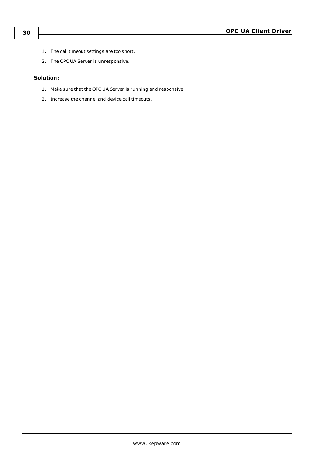- 1. The call timeout settings are too short.
- 2. The OPC UA Server is unresponsive.

#### **Solution:**

- 1. Make sure that the OPC UA Server is running and responsive.
- 2. Increase the channel and device call timeouts.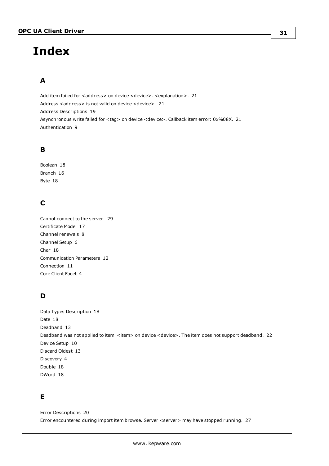# <span id="page-30-0"></span>**Index**

# **A**

Add item failed for <address> on device <device>. <explanation>. [21](#page-20-0) Address <address> is not valid on device <device>. [21](#page-20-1) Address Descriptions [19](#page-18-0) Asynchronous write failed for <tag> on device <device>. Callback item error: 0x%08X. [21](#page-20-2) Authentication [9](#page-8-0)

# **B**

Boolean [18](#page-17-1) Branch [16](#page-15-0) Byte [18](#page-17-2)

# **C**

Cannot connect to the server. [29](#page-28-0) Certificate Model [17](#page-16-0) Channel renewals [8](#page-7-1) Channel Setup [6](#page-5-0) Char [18](#page-17-3) Communication Parameters [12](#page-11-0) Connection [11](#page-10-0) Core Client Facet [4](#page-3-3)

# **D**

Data Types Description [18](#page-17-0) Date [18](#page-17-4) Deadband [13](#page-12-1) Deadband was not applied to item <item> on device <device>. The item does not support deadband. [22](#page-21-0) Device Setup [10](#page-9-0) Discard Oldest [13](#page-12-1) Discovery [4](#page-3-4) Double [18](#page-17-5) DWord [18](#page-17-6)

# **E**

Error Descriptions [20](#page-19-0) Error encountered during import item browse. Server <server> may have stopped running. [27](#page-26-1)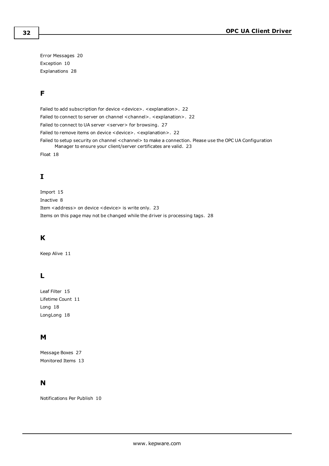Error Messages [20](#page-19-1) Exception [10](#page-9-2) Explanations [28](#page-27-3)

# **F**

Failed to add subscription for device <device>. <explanation>. [22](#page-21-1) Failed to connect to server on channel < channel>. <explanation>. [22](#page-21-2) Failed to connect to UA server <server> for browsing. [27](#page-26-2) Failed to remove items on device <device>. <explanation>. [22](#page-21-3) Failed to setup security on channel <channel> to make a connection. Please use the OPC UA Configuration Manager to ensure your client/server certificates are valid. [23](#page-22-0) Float [18](#page-17-7)

# **I**

Import [15](#page-14-0) Inactive [8](#page-7-2) Item <address> on device <device> is write only. [23](#page-22-1) Items on this page may not be changed while the driver is processing tags. [28](#page-27-0)

# **K**

Keep Alive [11](#page-10-1)

# **L**

Leaf Filter [15](#page-14-1) Lifetime Count [11](#page-10-2) Long [18](#page-17-8) LongLong [18](#page-17-9)

# **M**

Message Boxes [27](#page-26-0) Monitored Items [13](#page-12-0)

# **N**

Notifications Per Publish [10](#page-9-3)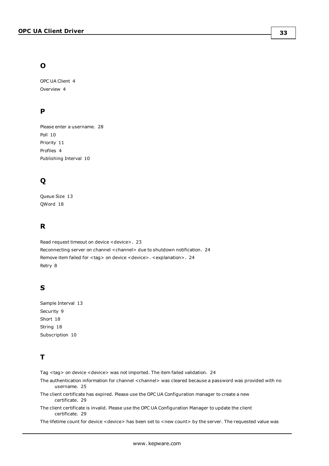# **O**

OPC UA Client [4](#page-3-0) Overview [4](#page-3-1)

# **P**

Please enter a username. [28](#page-27-2) Poll [10](#page-9-2) Priority [11](#page-10-3) Profiles [4](#page-3-2) Publishing Interval [10](#page-9-4)

# **Q**

Queue Size [13](#page-12-2) QWord [18](#page-17-10)

# **R**

Read request timeout on device <device>. [23](#page-22-2) Reconnecting server on channel <channel> due to shutdown notification. [24](#page-23-0) Remove item failed for <tag> on device <device>. <explanation>. [24](#page-23-1) Retry [8](#page-7-3)

# **S**

Sample Interval [13](#page-12-3) Security [9](#page-8-1) Short [18](#page-17-11) String [18](#page-17-12) Subscription [10](#page-9-1)

# **T**

Tag <tag> on device <device> was not imported. The item failed validation. [24](#page-23-2)

- The authentication information for channel < channel> was cleared because a password was provided with no username. [25](#page-24-0)
- The client certificate has expired. Please use the OPC UA Configuration manager to create a new certificate. [29](#page-28-1)
- The client certificate is invalid. Please use the OPC UA Configuration Manager to update the client certificate. [29](#page-28-2)

The lifetime count for device <device> has been set to <new count> by the server. The requested value was